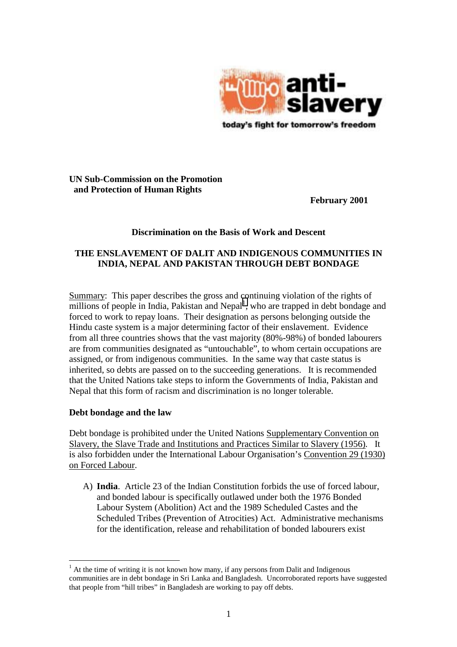

## **UN Sub-Commission on the Promotion and Protection of Human Rights**

**February 2001** 

## **Discrimination on the Basis of Work and Descent**

# **THE ENSLAVEMENT OF DALIT AND INDIGENOUS COMMUNITIES IN INDIA, NEPAL AND PAKISTAN THROUGH DEBT BONDAGE**

Summary: This paper describes the gross and continuing violation of the rights of  $m$ illions of people in India, Pakistan and Nepal<sup>1</sup>, who are trapped in debt bondage and forced to work to repay loans. Their designation as persons belonging outside the Hindu caste system is a major determining factor of their enslavement. Evidence from all three countries shows that the vast majority (80%-98%) of bonded labourers are from communities designated as "untouchable", to whom certain occupations are assigned, or from indigenous communities. In the same way that caste status is inherited, so debts are passed on to the succeeding generations. It is recommended that the United Nations take steps to inform the Governments of India, Pakistan and Nepal that this form of racism and discrimination is no longer tolerable.

## **Debt bondage and the law**

 $\overline{a}$ 

Debt bondage is prohibited under the United Nations Supplementary Convention on Slavery, the Slave Trade and Institutions and Practices Similar to Slavery (1956)*.* It is also forbidden under the International Labour Organisation's Convention 29 (1930) on Forced Labour.

A) **India**. Article 23 of the Indian Constitution forbids the use of forced labour, and bonded labour is specifically outlawed under both the 1976 Bonded Labour System (Abolition) Act and the 1989 Scheduled Castes and the Scheduled Tribes (Prevention of Atrocities) Act. Administrative mechanisms for the identification, release and rehabilitation of bonded labourers exist

 $<sup>1</sup>$  At the time of writing it is not known how many, if any persons from Dalit and Indigenous</sup> communities are in debt bondage in Sri Lanka and Bangladesh. Uncorroborated reports have suggested that people from "hill tribes" in Bangladesh are working to pay off debts.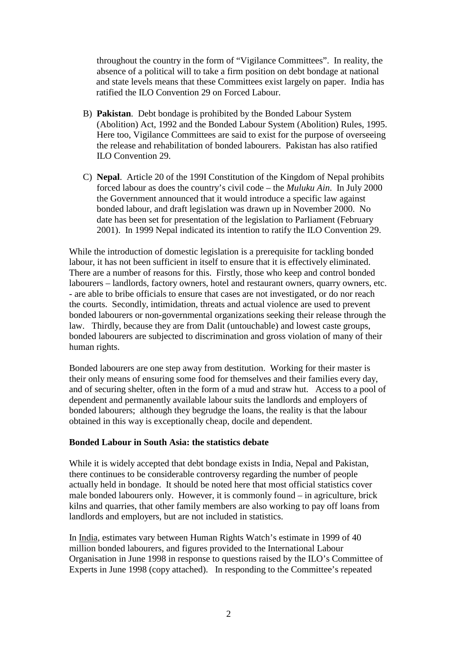throughout the country in the form of "Vigilance Committees". In reality, the absence of a political will to take a firm position on debt bondage at national and state levels means that these Committees exist largely on paper. India has ratified the ILO Convention 29 on Forced Labour.

- B) **Pakistan**. Debt bondage is prohibited by the Bonded Labour System (Abolition) Act, 1992 and the Bonded Labour System (Abolition) Rules, 1995. Here too, Vigilance Committees are said to exist for the purpose of overseeing the release and rehabilitation of bonded labourers. Pakistan has also ratified ILO Convention 29.
- C) **Nepal**. Article 20 of the 199I Constitution of the Kingdom of Nepal prohibits forced labour as does the country's civil code – the *Muluku Ain*. In July 2000 the Government announced that it would introduce a specific law against bonded labour, and draft legislation was drawn up in November 2000. No date has been set for presentation of the legislation to Parliament (February 2001). In 1999 Nepal indicated its intention to ratify the ILO Convention 29.

While the introduction of domestic legislation is a prerequisite for tackling bonded labour, it has not been sufficient in itself to ensure that it is effectively eliminated. There are a number of reasons for this. Firstly, those who keep and control bonded labourers – landlords, factory owners, hotel and restaurant owners, quarry owners, etc. - are able to bribe officials to ensure that cases are not investigated, or do nor reach the courts. Secondly, intimidation, threats and actual violence are used to prevent bonded labourers or non-governmental organizations seeking their release through the law. Thirdly, because they are from Dalit (untouchable) and lowest caste groups, bonded labourers are subjected to discrimination and gross violation of many of their human rights.

Bonded labourers are one step away from destitution. Working for their master is their only means of ensuring some food for themselves and their families every day, and of securing shelter, often in the form of a mud and straw hut. Access to a pool of dependent and permanently available labour suits the landlords and employers of bonded labourers; although they begrudge the loans, the reality is that the labour obtained in this way is exceptionally cheap, docile and dependent.

## **Bonded Labour in South Asia: the statistics debate**

While it is widely accepted that debt bondage exists in India, Nepal and Pakistan, there continues to be considerable controversy regarding the number of people actually held in bondage. It should be noted here that most official statistics cover male bonded labourers only. However, it is commonly found – in agriculture, brick kilns and quarries, that other family members are also working to pay off loans from landlords and employers, but are not included in statistics.

In India, estimates vary between Human Rights Watch's estimate in 1999 of 40 million bonded labourers, and figures provided to the International Labour Organisation in June 1998 in response to questions raised by the ILO's Committee of Experts in June 1998 (copy attached). In responding to the Committee's repeated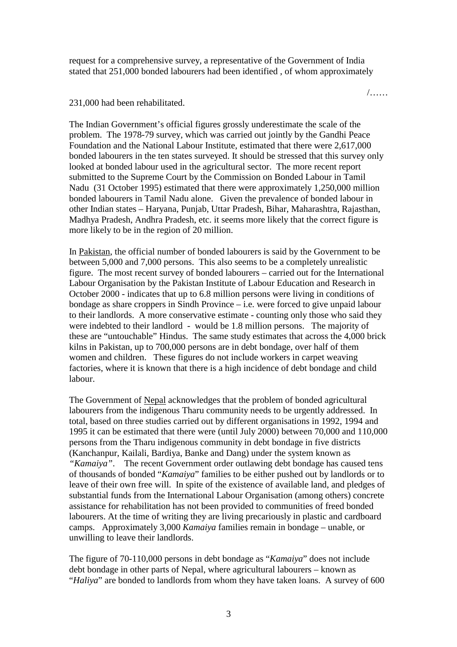request for a comprehensive survey, a representative of the Government of India stated that 251,000 bonded labourers had been identified , of whom approximately

/……

#### 231,000 had been rehabilitated.

The Indian Government's official figures grossly underestimate the scale of the problem. The 1978-79 survey, which was carried out jointly by the Gandhi Peace Foundation and the National Labour Institute, estimated that there were 2,617,000 bonded labourers in the ten states surveyed. It should be stressed that this survey only looked at bonded labour used in the agricultural sector. The more recent report submitted to the Supreme Court by the Commission on Bonded Labour in Tamil Nadu (31 October 1995) estimated that there were approximately 1,250,000 million bonded labourers in Tamil Nadu alone. Given the prevalence of bonded labour in other Indian states – Haryana, Punjab, Uttar Pradesh, Bihar, Maharashtra, Rajasthan, Madhya Pradesh, Andhra Pradesh, etc. it seems more likely that the correct figure is more likely to be in the region of 20 million.

In Pakistan, the official number of bonded labourers is said by the Government to be between 5,000 and 7,000 persons. This also seems to be a completely unrealistic figure. The most recent survey of bonded labourers – carried out for the International Labour Organisation by the Pakistan Institute of Labour Education and Research in October 2000 - indicates that up to 6.8 million persons were living in conditions of bondage as share croppers in Sindh Province – i.e. were forced to give unpaid labour to their landlords. A more conservative estimate - counting only those who said they were indebted to their landlord - would be 1.8 million persons. The majority of these are "untouchable" Hindus. The same study estimates that across the 4,000 brick kilns in Pakistan, up to 700,000 persons are in debt bondage, over half of them women and children. These figures do not include workers in carpet weaving factories, where it is known that there is a high incidence of debt bondage and child labour.

The Government of Nepal acknowledges that the problem of bonded agricultural labourers from the indigenous Tharu community needs to be urgently addressed. In total, based on three studies carried out by different organisations in 1992, 1994 and 1995 it can be estimated that there were (until July 2000) between 70,000 and 110,000 persons from the Tharu indigenous community in debt bondage in five districts (Kanchanpur, Kailali, Bardiya, Banke and Dang) under the system known as *"Kamaiya"*. The recent Government order outlawing debt bondage has caused tens of thousands of bonded "*Kamaiya*" families to be either pushed out by landlords or to leave of their own free will. In spite of the existence of available land, and pledges of substantial funds from the International Labour Organisation (among others) concrete assistance for rehabilitation has not been provided to communities of freed bonded labourers. At the time of writing they are living precariously in plastic and cardboard camps. Approximately 3,000 *Kamaiya* families remain in bondage – unable, or unwilling to leave their landlords.

The figure of 70-110,000 persons in debt bondage as "*Kamaiya*" does not include debt bondage in other parts of Nepal, where agricultural labourers – known as "*Haliya*" are bonded to landlords from whom they have taken loans. A survey of 600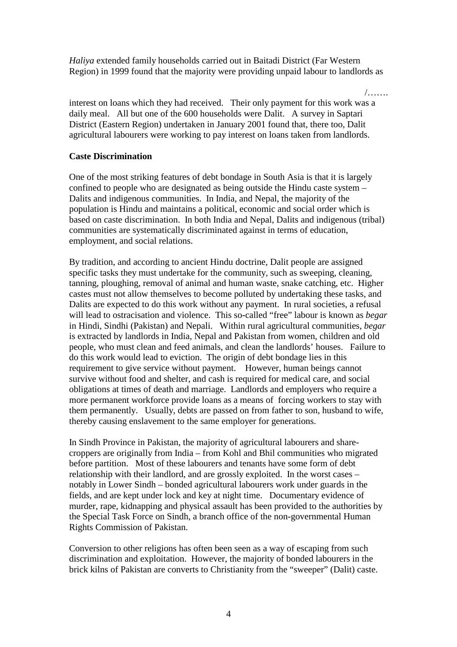*Haliya* extended family households carried out in Baitadi District (Far Western Region) in 1999 found that the majority were providing unpaid labour to landlords as

/…….

interest on loans which they had received. Their only payment for this work was a daily meal. All but one of the 600 households were Dalit. A survey in Saptari District (Eastern Region) undertaken in January 2001 found that, there too, Dalit agricultural labourers were working to pay interest on loans taken from landlords.

## **Caste Discrimination**

One of the most striking features of debt bondage in South Asia is that it is largely confined to people who are designated as being outside the Hindu caste system – Dalits and indigenous communities. In India, and Nepal, the majority of the population is Hindu and maintains a political, economic and social order which is based on caste discrimination. In both India and Nepal, Dalits and indigenous (tribal) communities are systematically discriminated against in terms of education, employment, and social relations.

By tradition, and according to ancient Hindu doctrine, Dalit people are assigned specific tasks they must undertake for the community, such as sweeping, cleaning, tanning, ploughing, removal of animal and human waste, snake catching, etc. Higher castes must not allow themselves to become polluted by undertaking these tasks, and Dalits are expected to do this work without any payment. In rural societies, a refusal will lead to ostracisation and violence. This so-called "free" labour is known as *begar*  in Hindi, Sindhi (Pakistan) and Nepali. Within rural agricultural communities, *begar* is extracted by landlords in India, Nepal and Pakistan from women, children and old people, who must clean and feed animals, and clean the landlords' houses. Failure to do this work would lead to eviction. The origin of debt bondage lies in this requirement to give service without payment. However, human beings cannot survive without food and shelter, and cash is required for medical care, and social obligations at times of death and marriage. Landlords and employers who require a more permanent workforce provide loans as a means of forcing workers to stay with them permanently. Usually, debts are passed on from father to son, husband to wife, thereby causing enslavement to the same employer for generations.

In Sindh Province in Pakistan, the majority of agricultural labourers and sharecroppers are originally from India – from Kohl and Bhil communities who migrated before partition. Most of these labourers and tenants have some form of debt relationship with their landlord, and are grossly exploited. In the worst cases – notably in Lower Sindh – bonded agricultural labourers work under guards in the fields, and are kept under lock and key at night time. Documentary evidence of murder, rape, kidnapping and physical assault has been provided to the authorities by the Special Task Force on Sindh, a branch office of the non-governmental Human Rights Commission of Pakistan.

Conversion to other religions has often been seen as a way of escaping from such discrimination and exploitation. However, the majority of bonded labourers in the brick kilns of Pakistan are converts to Christianity from the "sweeper" (Dalit) caste.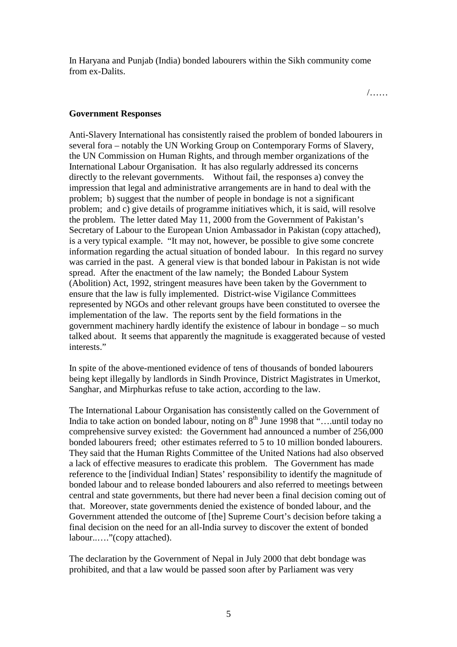In Haryana and Punjab (India) bonded labourers within the Sikh community come from ex-Dalits.

/……

#### **Government Responses**

Anti-Slavery International has consistently raised the problem of bonded labourers in several fora – notably the UN Working Group on Contemporary Forms of Slavery, the UN Commission on Human Rights, and through member organizations of the International Labour Organisation. It has also regularly addressed its concerns directly to the relevant governments. Without fail, the responses a) convey the impression that legal and administrative arrangements are in hand to deal with the problem; b) suggest that the number of people in bondage is not a significant problem; and c) give details of programme initiatives which, it is said, will resolve the problem. The letter dated May 11, 2000 from the Government of Pakistan's Secretary of Labour to the European Union Ambassador in Pakistan (copy attached), is a very typical example. "It may not, however, be possible to give some concrete information regarding the actual situation of bonded labour. In this regard no survey was carried in the past. A general view is that bonded labour in Pakistan is not wide spread. After the enactment of the law namely; the Bonded Labour System (Abolition) Act, 1992, stringent measures have been taken by the Government to ensure that the law is fully implemented. District-wise Vigilance Committees represented by NGOs and other relevant groups have been constituted to oversee the implementation of the law. The reports sent by the field formations in the government machinery hardly identify the existence of labour in bondage – so much talked about. It seems that apparently the magnitude is exaggerated because of vested interests."

In spite of the above-mentioned evidence of tens of thousands of bonded labourers being kept illegally by landlords in Sindh Province, District Magistrates in Umerkot, Sanghar, and Mirphurkas refuse to take action, according to the law.

The International Labour Organisation has consistently called on the Government of India to take action on bonded labour, noting on 8<sup>th</sup> June 1998 that "....until today no comprehensive survey existed: the Government had announced a number of 256,000 bonded labourers freed; other estimates referred to 5 to 10 million bonded labourers. They said that the Human Rights Committee of the United Nations had also observed a lack of effective measures to eradicate this problem. The Government has made reference to the [individual Indian] States' responsibility to identify the magnitude of bonded labour and to release bonded labourers and also referred to meetings between central and state governments, but there had never been a final decision coming out of that. Moreover, state governments denied the existence of bonded labour, and the Government attended the outcome of [the] Supreme Court's decision before taking a final decision on the need for an all-India survey to discover the extent of bonded labour..…."(copy attached).

The declaration by the Government of Nepal in July 2000 that debt bondage was prohibited, and that a law would be passed soon after by Parliament was very